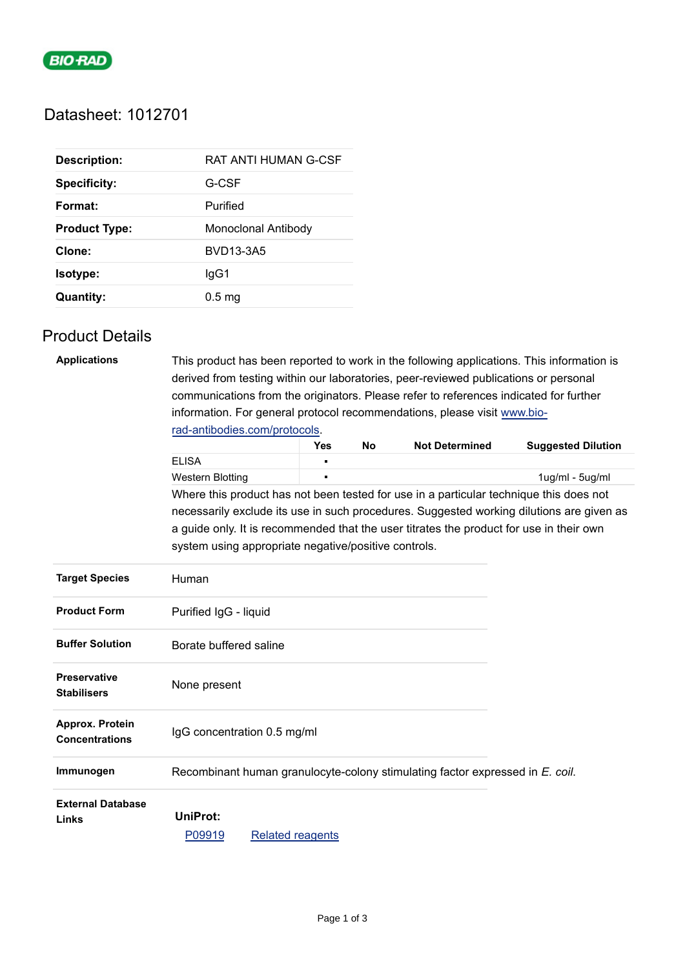

# Datasheet: 1012701

| <b>Description:</b>  | RAT ANTI HUMAN G-CSF |
|----------------------|----------------------|
| <b>Specificity:</b>  | G-CSF                |
| Format:              | Purified             |
| <b>Product Type:</b> | Monoclonal Antibody  |
| Clone:               | BVD13-3A5            |
| Isotype:             | lgG1                 |
| Quantity:            | 0.5 <sub>ma</sub>    |

## Product Details

| <b>Applications</b>      | This product has been reported to work in the following applications. This information is<br>derived from testing within our laboratories, peer-reviewed publications or personal<br>communications from the originators. Please refer to references indicated for further<br>information. For general protocol recommendations, please visit www.bio- |            |           |                       |                           |  |  |  |
|--------------------------|--------------------------------------------------------------------------------------------------------------------------------------------------------------------------------------------------------------------------------------------------------------------------------------------------------------------------------------------------------|------------|-----------|-----------------------|---------------------------|--|--|--|
|                          |                                                                                                                                                                                                                                                                                                                                                        |            |           |                       |                           |  |  |  |
|                          |                                                                                                                                                                                                                                                                                                                                                        |            |           |                       |                           |  |  |  |
|                          |                                                                                                                                                                                                                                                                                                                                                        |            |           |                       |                           |  |  |  |
|                          | rad-antibodies.com/protocols.                                                                                                                                                                                                                                                                                                                          |            |           |                       |                           |  |  |  |
|                          |                                                                                                                                                                                                                                                                                                                                                        | <b>Yes</b> | <b>No</b> | <b>Not Determined</b> | <b>Suggested Dilution</b> |  |  |  |
|                          | <b>ELISA</b>                                                                                                                                                                                                                                                                                                                                           | Ξ          |           |                       |                           |  |  |  |
|                          | <b>Western Blotting</b>                                                                                                                                                                                                                                                                                                                                |            |           |                       | 1ug/ml - 5ug/ml           |  |  |  |
|                          | Where this product has not been tested for use in a particular technique this does not                                                                                                                                                                                                                                                                 |            |           |                       |                           |  |  |  |
|                          | necessarily exclude its use in such procedures. Suggested working dilutions are given as<br>a guide only. It is recommended that the user titrates the product for use in their own                                                                                                                                                                    |            |           |                       |                           |  |  |  |
|                          |                                                                                                                                                                                                                                                                                                                                                        |            |           |                       |                           |  |  |  |
|                          | system using appropriate negative/positive controls.                                                                                                                                                                                                                                                                                                   |            |           |                       |                           |  |  |  |
|                          |                                                                                                                                                                                                                                                                                                                                                        |            |           |                       |                           |  |  |  |
| <b>Target Species</b>    | Human                                                                                                                                                                                                                                                                                                                                                  |            |           |                       |                           |  |  |  |
|                          |                                                                                                                                                                                                                                                                                                                                                        |            |           |                       |                           |  |  |  |
| <b>Product Form</b>      | Purified IgG - liquid                                                                                                                                                                                                                                                                                                                                  |            |           |                       |                           |  |  |  |
|                          |                                                                                                                                                                                                                                                                                                                                                        |            |           |                       |                           |  |  |  |
| <b>Buffer Solution</b>   | Borate buffered saline                                                                                                                                                                                                                                                                                                                                 |            |           |                       |                           |  |  |  |
| <b>Preservative</b>      |                                                                                                                                                                                                                                                                                                                                                        |            |           |                       |                           |  |  |  |
| <b>Stabilisers</b>       | None present                                                                                                                                                                                                                                                                                                                                           |            |           |                       |                           |  |  |  |
|                          |                                                                                                                                                                                                                                                                                                                                                        |            |           |                       |                           |  |  |  |
| Approx. Protein          |                                                                                                                                                                                                                                                                                                                                                        |            |           |                       |                           |  |  |  |
| <b>Concentrations</b>    | IgG concentration 0.5 mg/ml                                                                                                                                                                                                                                                                                                                            |            |           |                       |                           |  |  |  |
|                          |                                                                                                                                                                                                                                                                                                                                                        |            |           |                       |                           |  |  |  |
| Immunogen                | Recombinant human granulocyte-colony stimulating factor expressed in E. coil.                                                                                                                                                                                                                                                                          |            |           |                       |                           |  |  |  |
| <b>External Database</b> |                                                                                                                                                                                                                                                                                                                                                        |            |           |                       |                           |  |  |  |
| Links                    | <b>UniProt:</b>                                                                                                                                                                                                                                                                                                                                        |            |           |                       |                           |  |  |  |
|                          | P09919<br><b>Related reagents</b>                                                                                                                                                                                                                                                                                                                      |            |           |                       |                           |  |  |  |
|                          |                                                                                                                                                                                                                                                                                                                                                        |            |           |                       |                           |  |  |  |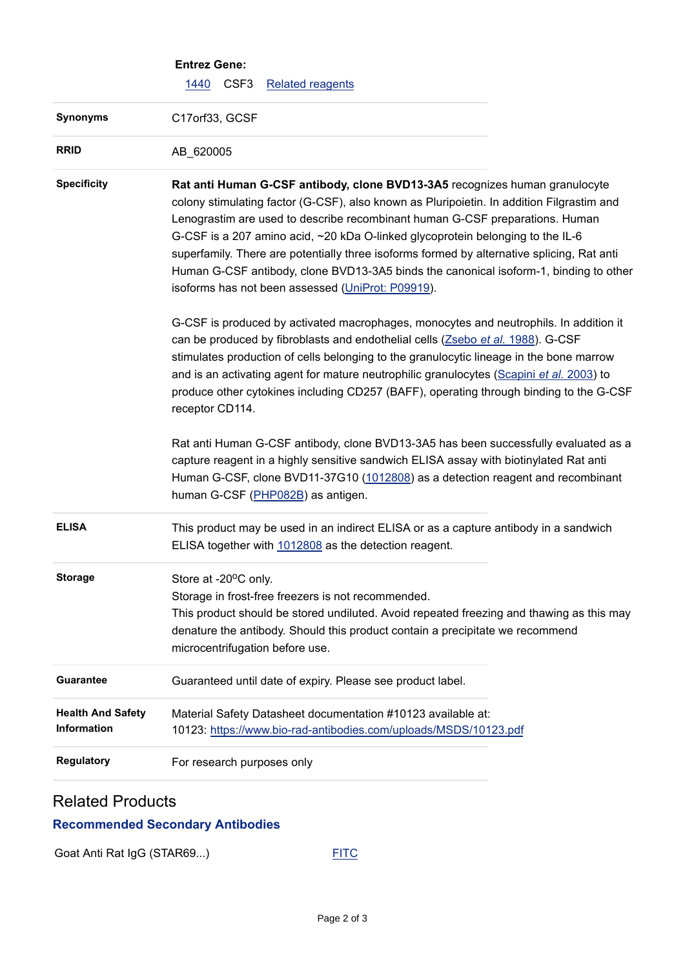|                                                | <b>Entrez Gene:</b>                                                                                                                                                                                                                                                                                                                                                                                                                                                                                                                                                                    |
|------------------------------------------------|----------------------------------------------------------------------------------------------------------------------------------------------------------------------------------------------------------------------------------------------------------------------------------------------------------------------------------------------------------------------------------------------------------------------------------------------------------------------------------------------------------------------------------------------------------------------------------------|
|                                                | CSF <sub>3</sub><br>1440<br><b>Related reagents</b>                                                                                                                                                                                                                                                                                                                                                                                                                                                                                                                                    |
| <b>Synonyms</b>                                | C17orf33, GCSF                                                                                                                                                                                                                                                                                                                                                                                                                                                                                                                                                                         |
| <b>RRID</b>                                    | AB_620005                                                                                                                                                                                                                                                                                                                                                                                                                                                                                                                                                                              |
| <b>Specificity</b>                             | Rat anti Human G-CSF antibody, clone BVD13-3A5 recognizes human granulocyte<br>colony stimulating factor (G-CSF), also known as Pluripoietin. In addition Filgrastim and<br>Lenograstim are used to describe recombinant human G-CSF preparations. Human<br>G-CSF is a 207 amino acid, ~20 kDa O-linked glycoprotein belonging to the IL-6<br>superfamily. There are potentially three isoforms formed by alternative splicing, Rat anti<br>Human G-CSF antibody, clone BVD13-3A5 binds the canonical isoform-1, binding to other<br>isoforms has not been assessed (UniProt: P09919). |
|                                                | G-CSF is produced by activated macrophages, monocytes and neutrophils. In addition it<br>can be produced by fibroblasts and endothelial cells (Zsebo et al. 1988). G-CSF<br>stimulates production of cells belonging to the granulocytic lineage in the bone marrow<br>and is an activating agent for mature neutrophilic granulocytes (Scapini et al. 2003) to<br>produce other cytokines including CD257 (BAFF), operating through binding to the G-CSF<br>receptor CD114.                                                                                                           |
|                                                | Rat anti Human G-CSF antibody, clone BVD13-3A5 has been successfully evaluated as a<br>capture reagent in a highly sensitive sandwich ELISA assay with biotinylated Rat anti<br>Human G-CSF, clone BVD11-37G10 (1012808) as a detection reagent and recombinant<br>human G-CSF (PHP082B) as antigen.                                                                                                                                                                                                                                                                                   |
| <b>ELISA</b>                                   | This product may be used in an indirect ELISA or as a capture antibody in a sandwich<br>ELISA together with 1012808 as the detection reagent.                                                                                                                                                                                                                                                                                                                                                                                                                                          |
| <b>Storage</b>                                 | Store at -20°C only.<br>Storage in frost-free freezers is not recommended.<br>This product should be stored undiluted. Avoid repeated freezing and thawing as this may<br>denature the antibody. Should this product contain a precipitate we recommend<br>microcentrifugation before use.                                                                                                                                                                                                                                                                                             |
| <b>Guarantee</b>                               | Guaranteed until date of expiry. Please see product label.                                                                                                                                                                                                                                                                                                                                                                                                                                                                                                                             |
| <b>Health And Safety</b><br><b>Information</b> | Material Safety Datasheet documentation #10123 available at:<br>10123: https://www.bio-rad-antibodies.com/uploads/MSDS/10123.pdf                                                                                                                                                                                                                                                                                                                                                                                                                                                       |
| <b>Regulatory</b>                              | For research purposes only                                                                                                                                                                                                                                                                                                                                                                                                                                                                                                                                                             |
|                                                |                                                                                                                                                                                                                                                                                                                                                                                                                                                                                                                                                                                        |

# Related Products

### **Recommended Secondary Antibodies**

Goat Anti Rat IgG (STAR69...) [FITC](https://www.bio-rad-antibodies.com/polyclonal/rat-igg-antibody-star69.html)